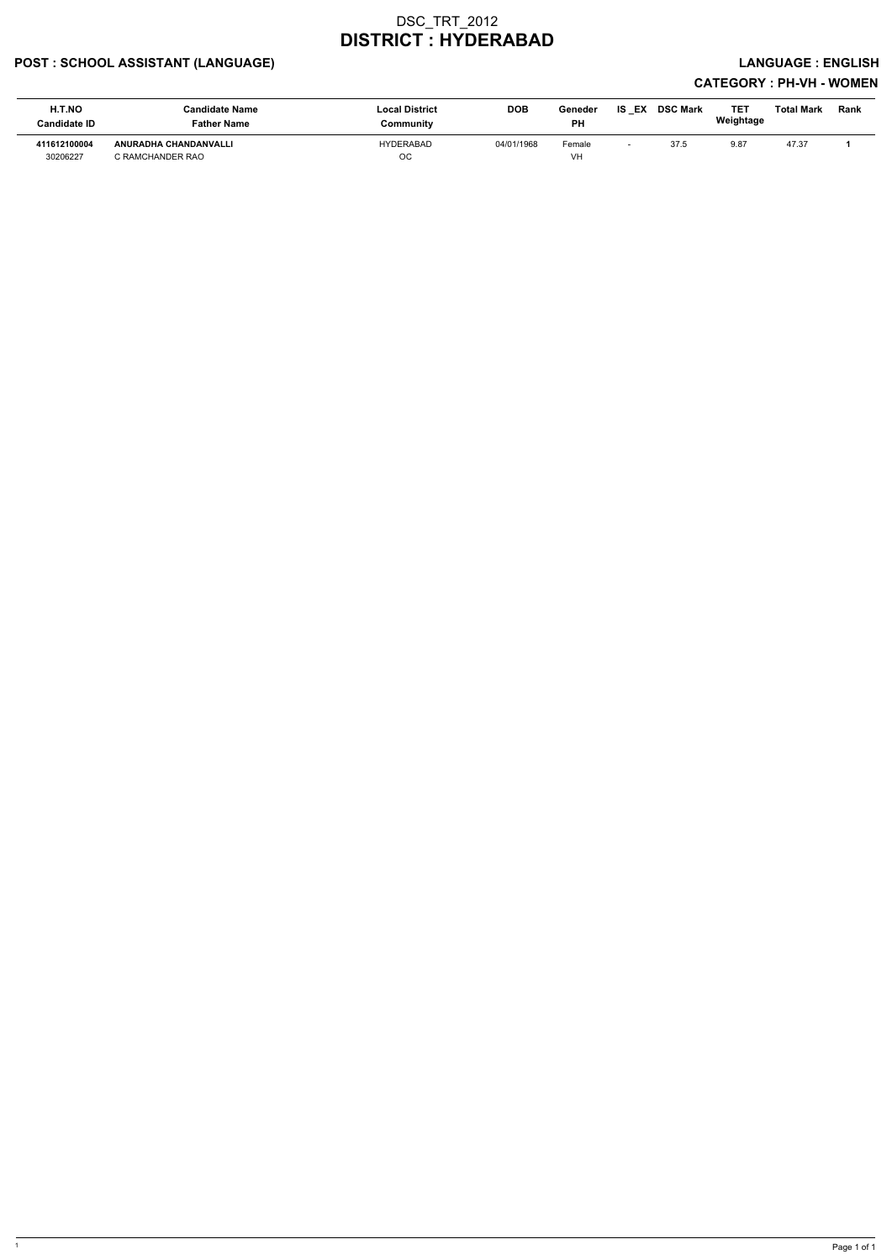### POST : SCHOOL ASSISTANT (LANGUAGE) And the state of the state of the state of the state of the state of the state of the state of the state of the state of the state of the state of the state of the state of the state of t

| <b>H.T.NO</b><br><b>Candidate ID</b> | <b>Candidate Name</b><br><b>Father Name</b> | <b>Local District</b><br>Community | <b>DOB</b> | Geneder<br><b>PH</b> | IS<br>EX | <b>DSC Mark</b> | <b>TET</b><br>Weightage | Total Mark | Rank |
|--------------------------------------|---------------------------------------------|------------------------------------|------------|----------------------|----------|-----------------|-------------------------|------------|------|
| 411612100004<br>30206227             | ANURADHA CHANDANVALLI<br>C RAMCHANDER RAO   | HYDERABAD<br>OC                    | 04/01/1968 | Female<br>VH         |          | 37.5            | 9.87                    | 47.37      |      |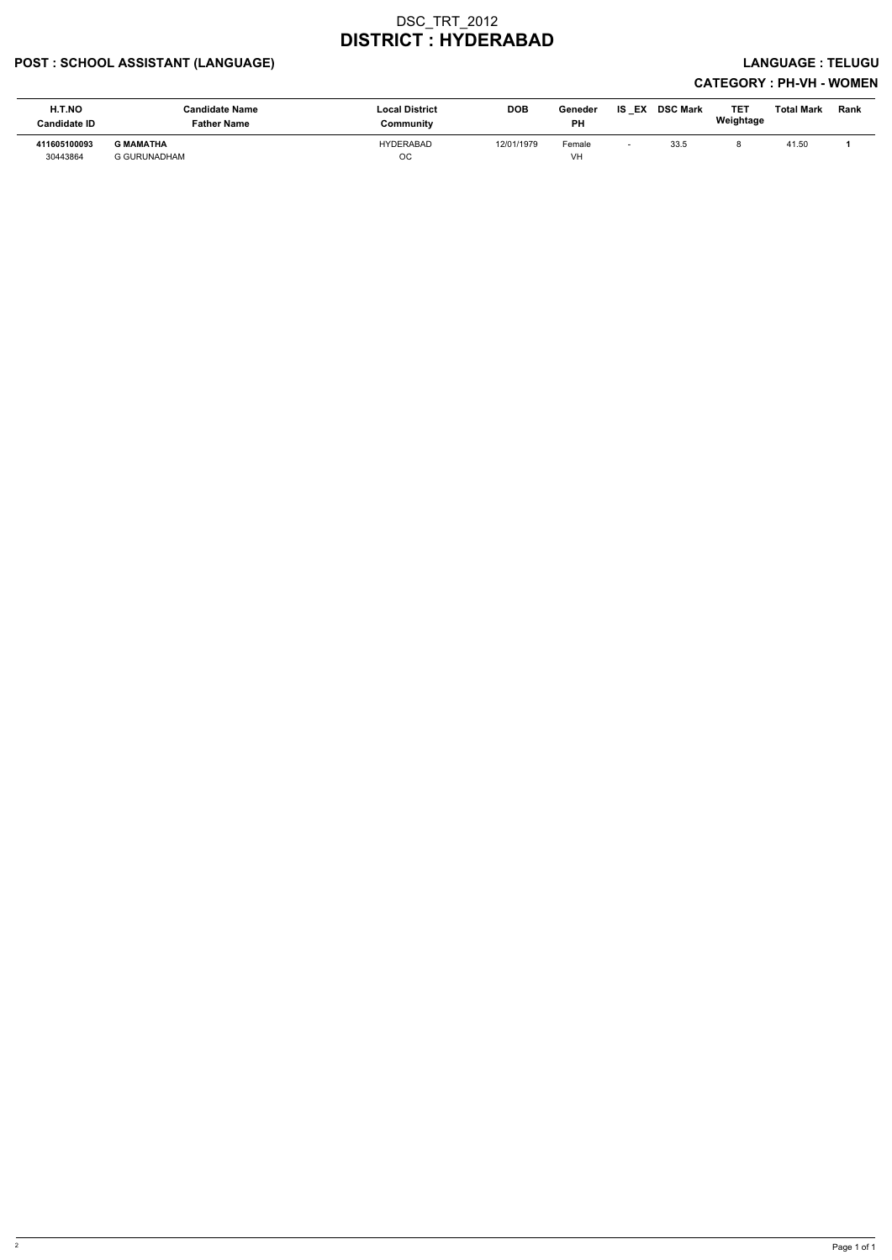### POST : SCHOOL ASSISTANT (LANGUAGE) LANGUAGE : TELUGU

| H.T.NO<br><b>Candidate ID</b> | <b>Candidate Name</b><br><b>Father Name</b> | <b>Local District</b><br>Community | <b>DOB</b> | Geneder<br>PH | IS<br>EX | <b>DSC Mark</b> | TET<br>Weightage | <b>Total Mark</b> | Rank |
|-------------------------------|---------------------------------------------|------------------------------------|------------|---------------|----------|-----------------|------------------|-------------------|------|
| 411605100093<br>30443864      | <b>G MAMATHA</b><br><b>G GURUNADHAM</b>     | HYDERABAD<br>OС                    | 12/01/1979 | Female<br>VH  |          | 33.5            |                  | 41.50             |      |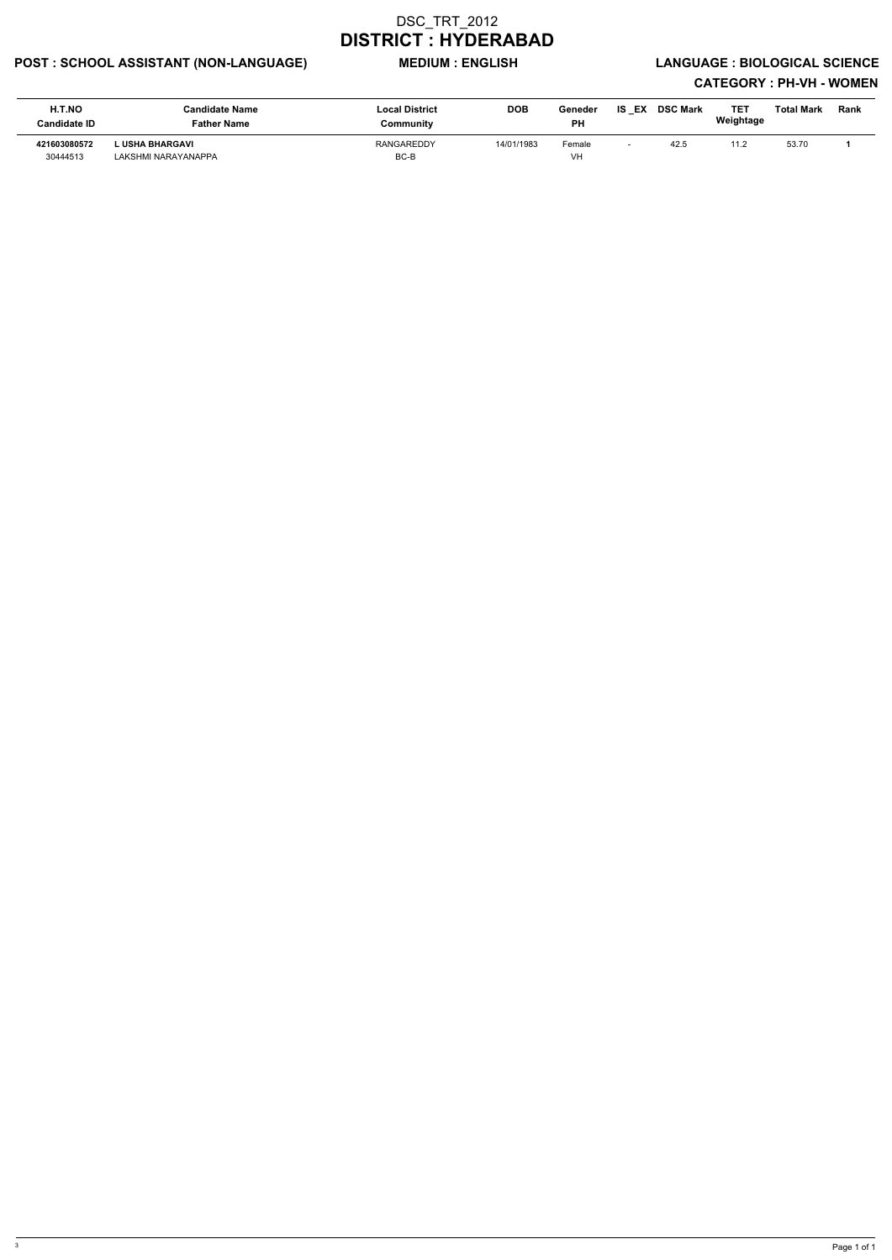### POST : SCHOOL ASSISTANT (NON-LANGUAGE) MEDIUM : ENGLISH LANGUAGE : BIOLOGICAL SCIENCE

| <b>H.T.NO</b><br><b>Candidate ID</b> | <b>Candidate Name</b><br><b>Father Name</b> | <b>Local District</b><br>Community | <b>DOB</b> | Geneder<br><b>PH</b> | IS<br>EX | <b>DSC Mark</b> | <b>TET</b><br>Weightage | Total Mark | Rank |
|--------------------------------------|---------------------------------------------|------------------------------------|------------|----------------------|----------|-----------------|-------------------------|------------|------|
| 421603080572<br>30444513             | L USHA BHARGAVI<br>LAKSHMI NARAYANAPPA      | <b>RANGAREDDY</b><br>BC-B          | 14/01/1983 | Female<br>VH         |          | 42.5            |                         | 53.70      |      |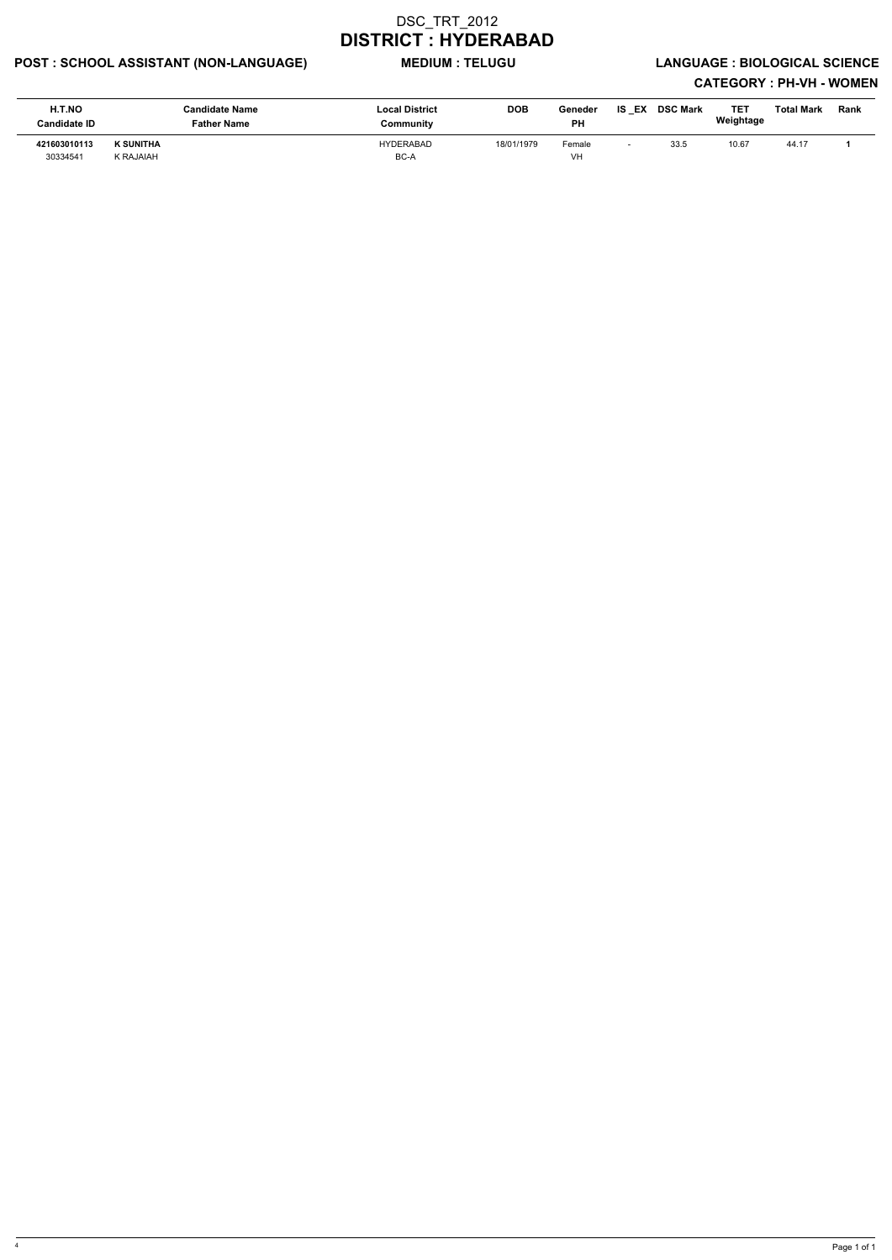### POST : SCHOOL ASSISTANT (NON-LANGUAGE) MEDIUM : TELUGU LANGUAGE : BIOLOGICAL SCIENCE

| H.T.NO<br><b>Candidate ID</b> | Candidate Name<br>Father Name | <b>Local District</b><br>Community | <b>DOB</b> | Geneder<br><b>PH</b> | <b>IS EX</b> | <b>DSC Mark</b> | TET<br>Weightage | <b>Total Mark</b> | <b>Rank</b> |
|-------------------------------|-------------------------------|------------------------------------|------------|----------------------|--------------|-----------------|------------------|-------------------|-------------|
| 421603010113<br>30334541      | <b>K SUNITHA</b><br>K RAJAIAH | <b>HYDERABAD</b><br>BC-A           | 18/01/1979 | Female<br>VH         |              | 33.5            | 10.67            | 44.17             |             |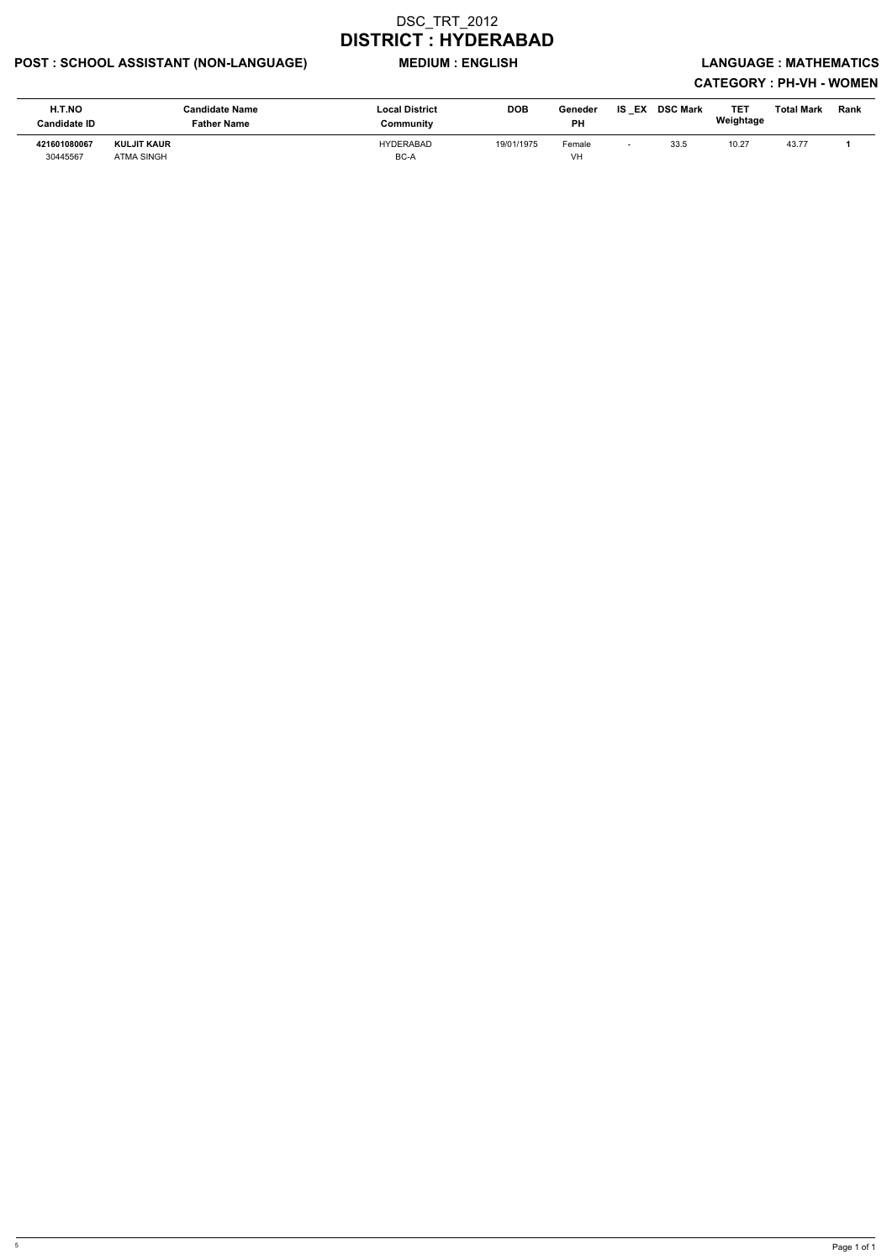### POST : SCHOOL ASSISTANT (NON-LANGUAGE) MEDIUM : ENGLISH LANGUAGE : MATHEMATICS

| H.T.NO<br><b>Candidate ID</b> | Candidate Name<br>Father Name           | <b>Local District</b><br>Community | <b>DOB</b> | Geneder<br><b>PH</b> | IS EX | <b>DSC Mark</b> | <b>TET</b><br>Weightage | <b>Total Mark</b> | <b>Rank</b> |
|-------------------------------|-----------------------------------------|------------------------------------|------------|----------------------|-------|-----------------|-------------------------|-------------------|-------------|
| 421601080067<br>30445567      | <b>KULJIT KAUR</b><br><b>ATMA SINGH</b> | <b>HYDERABAD</b><br>BC-A           | 19/01/1975 | Female<br>VH         |       | 33.5            | 10.27                   | 43.77             |             |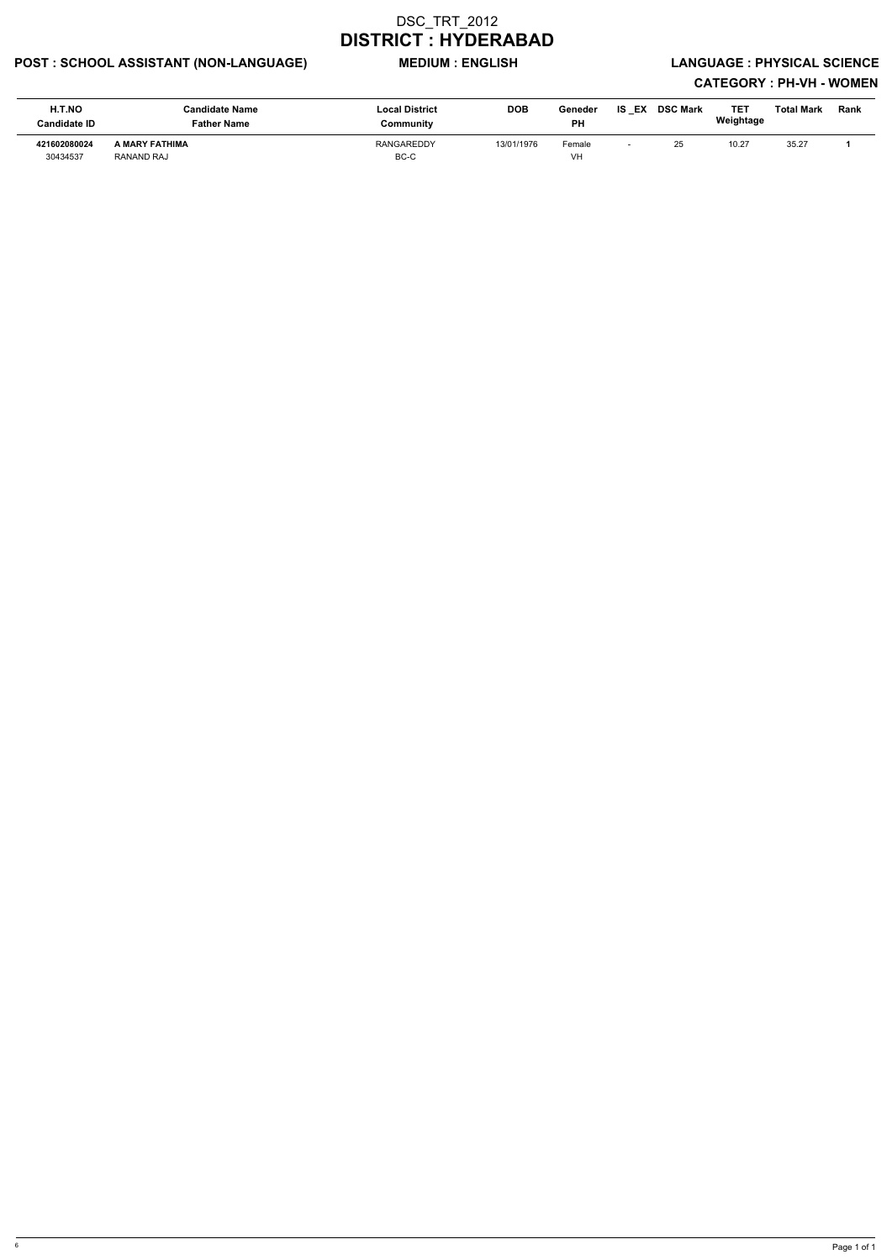### POST : SCHOOL ASSISTANT (NON-LANGUAGE) MEDIUM : ENGLISH LANGUAGE : PHYSICAL SCIENCE

| H.T.NO<br><b>Candidate ID</b> | <b>Candidate Name</b><br><b>Father Name</b> | <b>Local District</b><br>Community | <b>DOB</b> | Geneder<br>РH | <b>IS EX</b> | <b>DSC Mark</b> | TET<br>Weightage | Total Mark | Rank |
|-------------------------------|---------------------------------------------|------------------------------------|------------|---------------|--------------|-----------------|------------------|------------|------|
| 421602080024<br>30434537      | A MARY FATHIMA<br>RANAND RAJ                | <b>RANGAREDDY</b><br>BC-C          | 13/01/1976 | Female<br>VH  |              | 25              | 10.27            | 35.27      |      |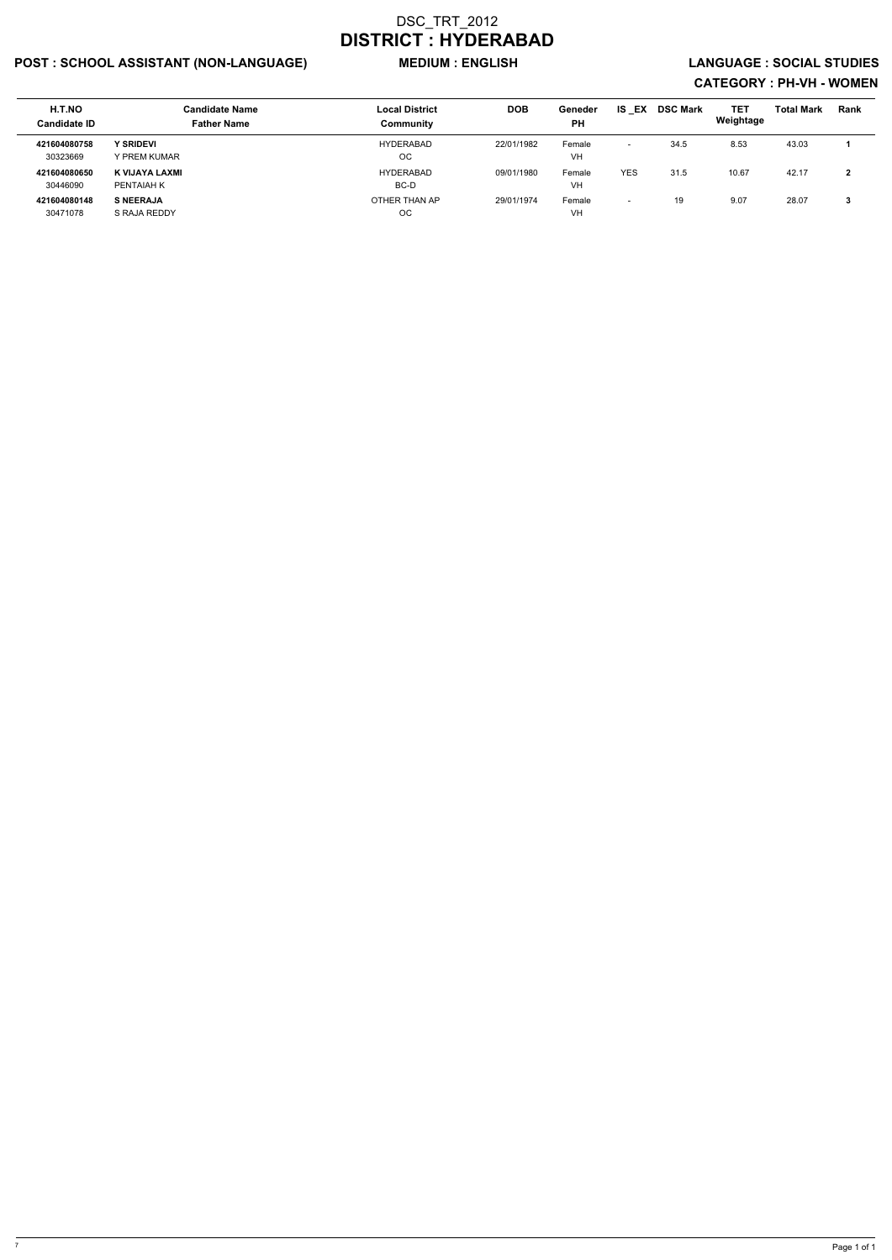### POST : SCHOOL ASSISTANT (NON-LANGUAGE) MEDIUM : ENGLISH LANGUAGE : SOCIAL STUDIES

| H.T.NO<br><b>Candidate ID</b> | <b>Candidate Name</b><br><b>Father Name</b> | <b>Local District</b><br>Community | <b>DOB</b> | <b>Geneder</b><br><b>PH</b> | <b>IS EX</b>             | <b>DSC Mark</b> | <b>TET</b><br>Weightage | <b>Total Mark</b> | <b>Rank</b> |
|-------------------------------|---------------------------------------------|------------------------------------|------------|-----------------------------|--------------------------|-----------------|-------------------------|-------------------|-------------|
| 421604080758<br>30323669      | <b>Y SRIDEVI</b><br>Y PREM KUMAR            | HYDERABAD<br>ОC                    | 22/01/1982 | Female<br>VH                | $\overline{\phantom{a}}$ | 34.5            | 8.53                    | 43.03             |             |
| 421604080650<br>30446090      | K VIJAYA LAXMI<br>PENTAIAH K                | <b>HYDERABAD</b><br>BC-D           | 09/01/1980 | Female<br>VH                | <b>YES</b>               | 31.5            | 10.67                   | 42.17             | ົ           |
| 421604080148<br>30471078      | <b>S NEERAJA</b><br>S RAJA REDDY            | OTHER THAN AP<br><b>OC</b>         | 29/01/1974 | Female<br>VH                | $\overline{\phantom{0}}$ | 19              | 9.07                    | 28.07             | - 2         |